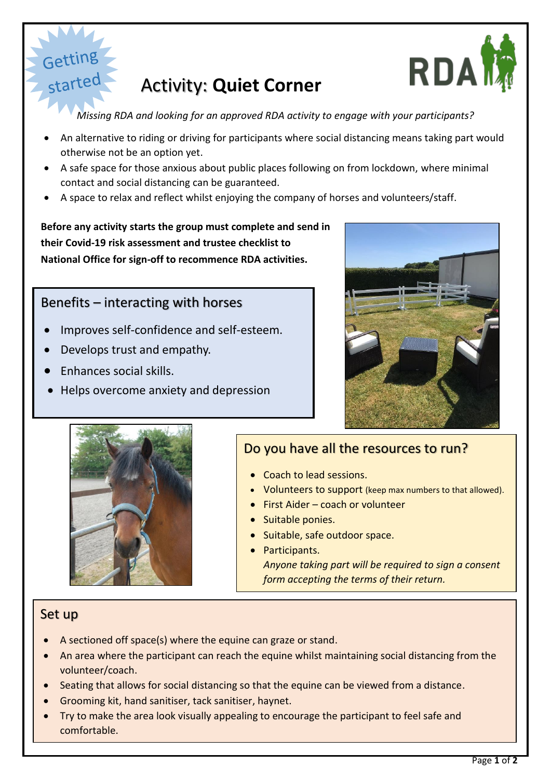

# Activity: **Quiet Corner**

*Missing RDA and looking for an approved RDA activity to engage with your participants?*

- An alternative to riding or driving for participants where social distancing means taking part would otherwise not be an option yet.
- A safe space for those anxious about public places following on from lockdown, where minimal contact and social distancing can be guaranteed.
- A space to relax and reflect whilst enjoying the company of horses and volunteers/staff.

**Before any activity starts the group must complete and send in their Covid-19 risk assessment and trustee checklist to National Office for sign-off to recommence RDA activities.**

### Benefits – interacting with horses

- Improves self-confidence and self-esteem.
- Develops trust and empathy.
- Enhances social skills.

started

Helps overcome anxiety and depression





## Do you have all the resources to run?

- Coach to lead sessions.
- Volunteers to support (keep max numbers to that allowed).
- **First Aider coach or volunteer**
- Suitable ponies.
- Suitable, safe outdoor space.
- Participants. *Anyone taking part will be required to sign a consent form accepting the terms of their return.*

#### Set up

- A sectioned off space(s) where the equine can graze or stand.
- An area where the participant can reach the equine whilst maintaining social distancing from the volunteer/coach.
- Seating that allows for social distancing so that the equine can be viewed from a distance.
- Grooming kit, hand sanitiser, tack sanitiser, haynet.
- Try to make the area look visually appealing to encourage the participant to feel safe and comfortable.